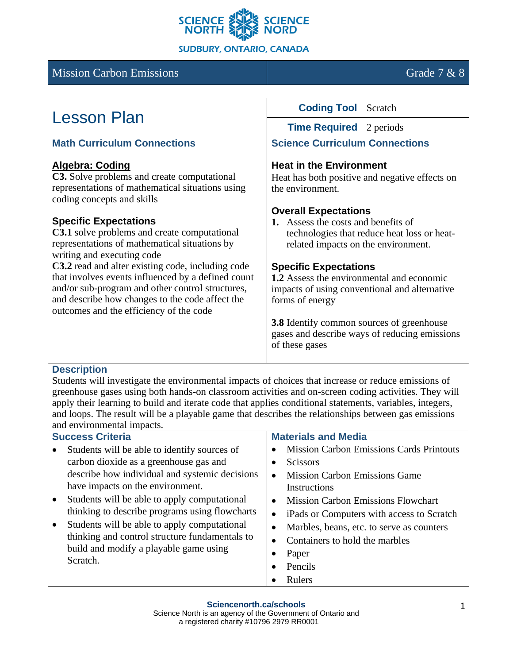

Mission Carbon Emissions Grade 7 & 8

#### **Lesson Plan** Coding Tool Scratch<br>
Time Required 2 periods **Time Required Math Curriculum Connections Algebra: Coding C3.** Solve problems and create computational representations of mathematical situations using coding concepts and skills **Specific Expectations C3.1** solve problems and create computational representations of mathematical situations by writing and executing code **C3.2** read and alter existing code, including code that involves events influenced by a defined count and/or sub-program and other control structures, and describe how changes to the code affect the outcomes and the efficiency of the code **Science Curriculum Connections Heat in the Environment** Heat has both positive and negative effects on the environment. **Overall Expectations 1.** Assess the costs and benefits of technologies that reduce heat loss or heatrelated impacts on the environment. **Specific Expectations 1.2** Assess the environmental and economic impacts of using conventional and alternative forms of energy **3.8** Identify common sources of greenhouse gases and describe ways of reducing emissions of these gases

### **Description**

Students will investigate the environmental impacts of choices that increase or reduce emissions of greenhouse gases using both hands-on classroom activities and on-screen coding activities. They will apply their learning to build and iterate code that applies conditional statements, variables, integers, and loops. The result will be a playable game that describes the relationships between gas emissions and environmental impacts.

| <b>Success Criteria</b>                                   | <b>Materials and Media</b>                             |
|-----------------------------------------------------------|--------------------------------------------------------|
| Students will be able to identify sources of<br>$\bullet$ | <b>Mission Carbon Emissions Cards Printouts</b>        |
| carbon dioxide as a greenhouse gas and                    | <b>Scissors</b>                                        |
| describe how individual and systemic decisions            | <b>Mission Carbon Emissions Game</b><br>$\bullet$      |
| have impacts on the environment.                          | Instructions                                           |
| Students will be able to apply computational<br>$\bullet$ | <b>Mission Carbon Emissions Flowchart</b><br>$\bullet$ |
| thinking to describe programs using flowcharts            | iPads or Computers with access to Scratch<br>$\bullet$ |
| Students will be able to apply computational<br>$\bullet$ | Marbles, beans, etc. to serve as counters<br>$\bullet$ |
| thinking and control structure fundamentals to            | Containers to hold the marbles                         |
| build and modify a playable game using                    | Paper                                                  |
| Scratch.                                                  | Pencils                                                |

• Rulers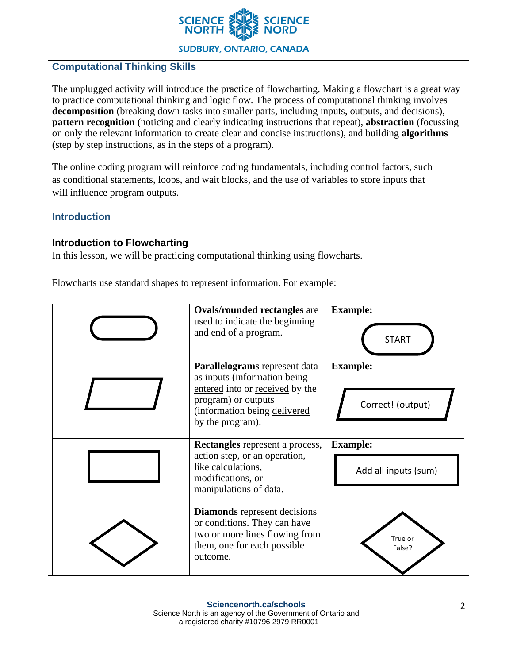

## **Computational Thinking Skills**

The unplugged activity will introduce the practice of flowcharting. Making a flowchart is a great way to practice computational thinking and logic flow. The process of computational thinking involves **decomposition** (breaking down tasks into smaller parts, including inputs, outputs, and decisions), **pattern recognition** (noticing and clearly indicating instructions that repeat), **abstraction** (focussing on only the relevant information to create clear and concise instructions), and building **algorithms** (step by step instructions, as in the steps of a program).

The online coding program will reinforce coding fundamentals, including control factors, such as conditional statements, loops, and wait blocks, and the use of variables to store inputs that will influence program outputs.

**Introduction**

### **Introduction to Flowcharting**

In this lesson, we will be practicing computational thinking using flowcharts.

Flowcharts use standard shapes to represent information. For example:

| <b>Ovals/rounded rectangles are</b><br>used to indicate the beginning<br>and end of a program.                                                                               | <b>Example:</b><br><b>START</b>         |
|------------------------------------------------------------------------------------------------------------------------------------------------------------------------------|-----------------------------------------|
| Parallelograms represent data<br>as inputs (information being)<br>entered into or received by the<br>program) or outputs<br>(information being delivered<br>by the program). | <b>Example:</b><br>Correct! (output)    |
|                                                                                                                                                                              |                                         |
| <b>Rectangles</b> represent a process,<br>action step, or an operation,<br>like calculations,<br>modifications, or<br>manipulations of data.                                 | <b>Example:</b><br>Add all inputs (sum) |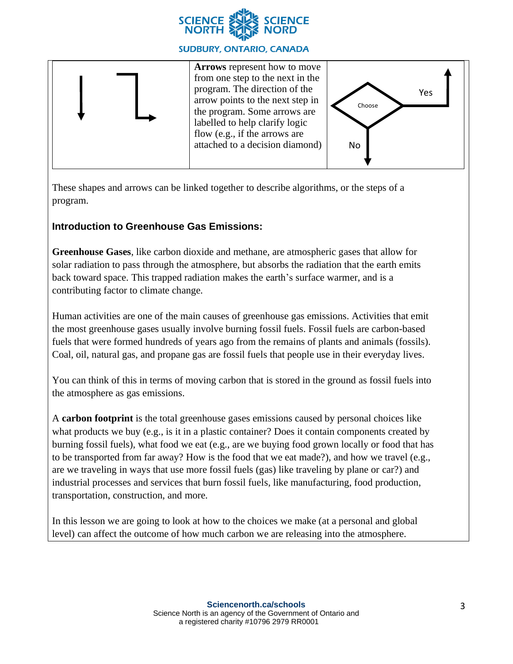



These shapes and arrows can be linked together to describe algorithms, or the steps of a program.

# **Introduction to Greenhouse Gas Emissions:**

**Greenhouse Gases**, like carbon dioxide and methane, are atmospheric gases that allow for solar radiation to pass through the atmosphere, but absorbs the radiation that the earth emits back toward space. This trapped radiation makes the earth's surface warmer, and is a contributing factor to climate change.

Human activities are one of the main causes of greenhouse gas emissions. Activities that emit the most greenhouse gases usually involve burning fossil fuels. Fossil fuels are carbon-based fuels that were formed hundreds of years ago from the remains of plants and animals (fossils). Coal, oil, natural gas, and propane gas are fossil fuels that people use in their everyday lives.

You can think of this in terms of moving carbon that is stored in the ground as fossil fuels into the atmosphere as gas emissions.

A **carbon footprint** is the total greenhouse gases emissions caused by personal choices like what products we buy (e.g., is it in a plastic container? Does it contain components created by burning fossil fuels), what food we eat (e.g., are we buying food grown locally or food that has to be transported from far away? How is the food that we eat made?), and how we travel (e.g., are we traveling in ways that use more fossil fuels (gas) like traveling by plane or car?) and industrial processes and services that burn fossil fuels, like manufacturing, food production, transportation, construction, and more.

In this lesson we are going to look at how to the choices we make (at a personal and global level) can affect the outcome of how much carbon we are releasing into the atmosphere.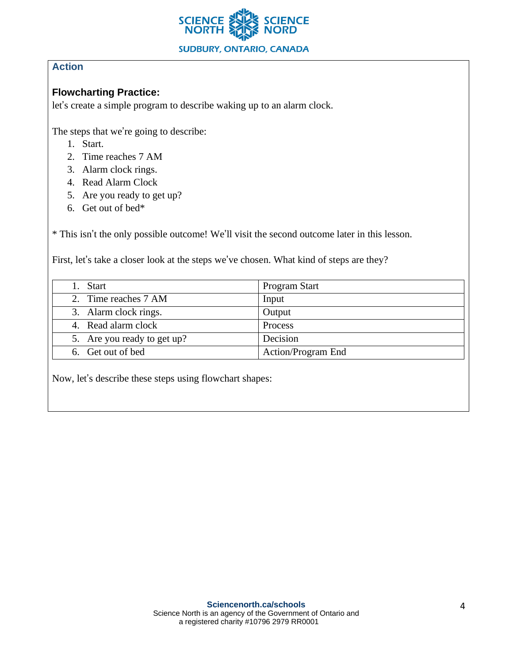

# **Action**

## **Flowcharting Practice:**

let's create a simple program to describe waking up to an alarm clock.

The steps that we're going to describe:

- 1. Start.
- 2. Time reaches 7 AM
- 3. Alarm clock rings.
- 4. Read Alarm Clock
- 5. Are you ready to get up?
- 6. Get out of bed\*

\* This isn't the only possible outcome! We'll visit the second outcome later in this lesson.

First, let's take a closer look at the steps we've chosen. What kind of steps are they?

| 1. Start                    | Program Start      |
|-----------------------------|--------------------|
| 2. Time reaches 7 AM        | Input              |
| 3. Alarm clock rings.       | Output             |
| 4. Read alarm clock         | Process            |
| 5. Are you ready to get up? | Decision           |
| 6. Get out of bed           | Action/Program End |

Now, let's describe these steps using flowchart shapes: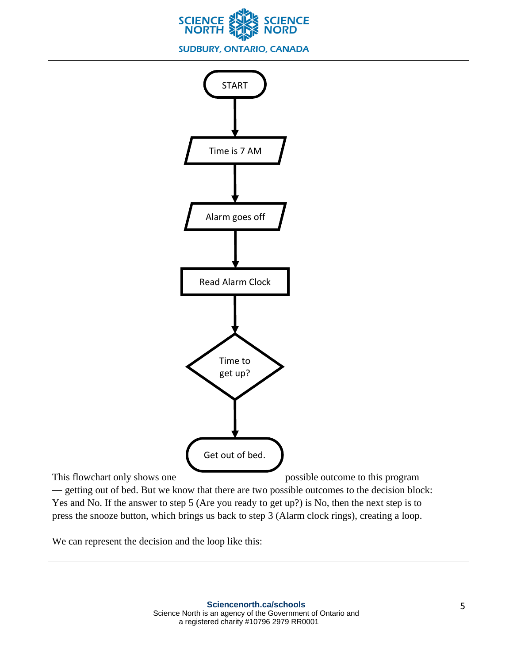

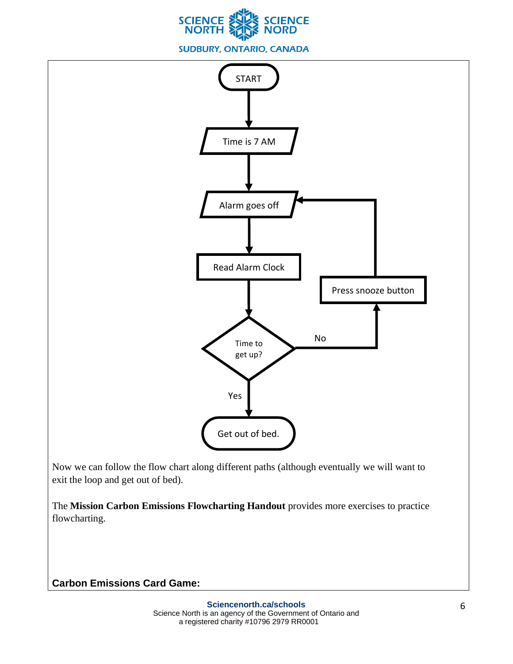



Now we can follow the flow chart along different paths (although eventually we will want to exit the loop and get out of bed).

The **Mission Carbon Emissions Flowcharting Handout** provides more exercises to practice flowcharting.

## **Carbon Emissions Card Game:**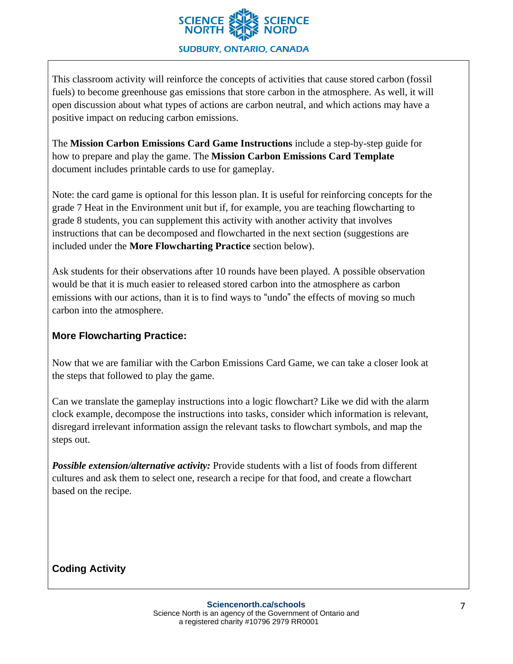

This classroom activity will reinforce the concepts of activities that cause stored carbon (fossil fuels) to become greenhouse gas emissions that store carbon in the atmosphere. As well, it will open discussion about what types of actions are carbon neutral, and which actions may have a positive impact on reducing carbon emissions.

The **Mission Carbon Emissions Card Game Instructions** include a step-by-step guide for how to prepare and play the game. The **Mission Carbon Emissions Card Template** document includes printable cards to use for gameplay.

Note: the card game is optional for this lesson plan. It is useful for reinforcing concepts for the grade 7 Heat in the Environment unit but if, for example, you are teaching flowcharting to grade 8 students, you can supplement this activity with another activity that involves instructions that can be decomposed and flowcharted in the next section (suggestions are included under the **More Flowcharting Practice** section below).

Ask students for their observations after 10 rounds have been played. A possible observation would be that it is much easier to released stored carbon into the atmosphere as carbon emissions with our actions, than it is to find ways to "undo" the effects of moving so much carbon into the atmosphere.

## **More Flowcharting Practice:**

Now that we are familiar with the Carbon Emissions Card Game, we can take a closer look at the steps that followed to play the game.

Can we translate the gameplay instructions into a logic flowchart? Like we did with the alarm clock example, decompose the instructions into tasks, consider which information is relevant, disregard irrelevant information assign the relevant tasks to flowchart symbols, and map the steps out.

*Possible extension/alternative activity:* Provide students with a list of foods from different cultures and ask them to select one, research a recipe for that food, and create a flowchart based on the recipe.

**Coding Activity**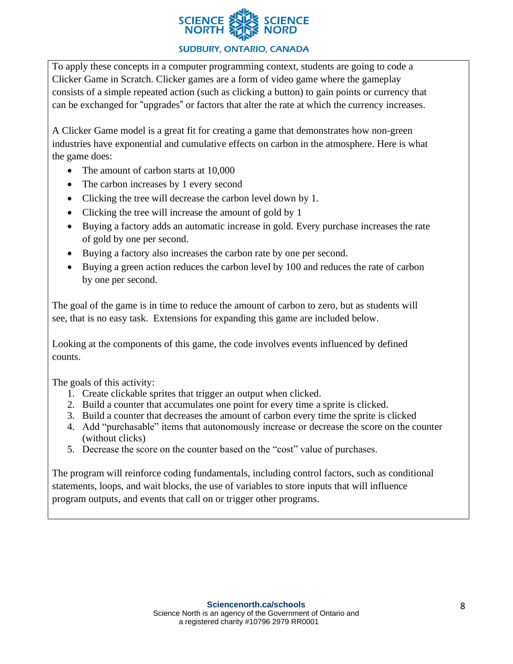

To apply these concepts in a computer programming context, students are going to code a Clicker Game in Scratch. Clicker games are a form of video game where the gameplay consists of a simple repeated action (such as clicking a button) to gain points or currency that can be exchanged for "upgrades" or factors that alter the rate at which the currency increases.

A Clicker Game model is a great fit for creating a game that demonstrates how non-green industries have exponential and cumulative effects on carbon in the atmosphere. Here is what the game does:

- The amount of carbon starts at 10,000
- The carbon increases by 1 every second
- Clicking the tree will decrease the carbon level down by 1.
- Clicking the tree will increase the amount of gold by 1
- Buying a factory adds an automatic increase in gold. Every purchase increases the rate of gold by one per second.
- Buying a factory also increases the carbon rate by one per second.
- Buying a green action reduces the carbon level by 100 and reduces the rate of carbon by one per second.

The goal of the game is in time to reduce the amount of carbon to zero, but as students will see, that is no easy task. Extensions for expanding this game are included below.

Looking at the components of this game, the code involves events influenced by defined counts.

The goals of this activity:

- 1. Create clickable sprites that trigger an output when clicked.
- 2. Build a counter that accumulates one point for every time a sprite is clicked.
- 3. Build a counter that decreases the amount of carbon every time the sprite is clicked
- 4. Add "purchasable" items that autonomously increase or decrease the score on the counter (without clicks)
- 5. Decrease the score on the counter based on the "cost" value of purchases.

The program will reinforce coding fundamentals, including control factors, such as conditional statements, loops, and wait blocks, the use of variables to store inputs that will influence program outputs, and events that call on or trigger other programs.